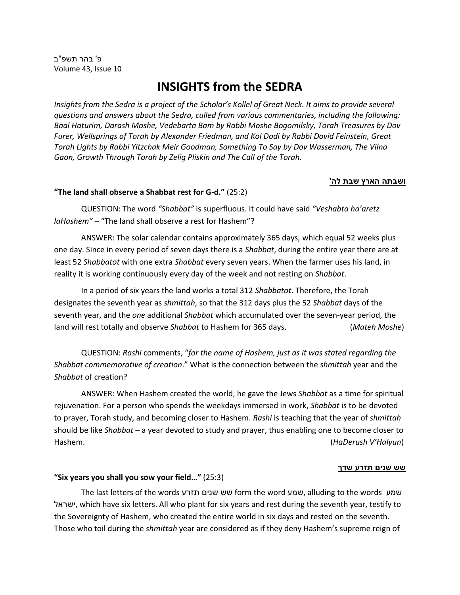פ' בהר תשפ '' ב Volume 43, Issue 10

# **INSIGHTS from the SEDRA**

*Insights from the Sedra is a project of the Scholar's Kollel of Great Neck. It aims to provide several questions and answers about the Sedra, culled from various commentaries, including the following: Baal Haturim, Darash Moshe, Vedebarta Bam by Rabbi Moshe Bogomilsky, Torah Treasures by Dov Furer, Wellsprings of Torah by Alexander Friedman, and Kol Dodi by Rabbi Dovid Feinstein, Great Torah Lights by Rabbi Yitzchak Meir Goodman, Something To Say by Dov Wasserman, The Vilna Gaon, Growth Through Torah by Zelig Pliskin and The Call of the Torah.*

## **ושבתה הארץ שבת לה'**

## **"The land shall observe a Shabbat rest for G-d."** (25:2)

QUESTION: The word *"Shabbat"* is superfluous. It could have said *"Veshabta ha'aretz laHashem"* – "The land shall observe a rest for Hashem"?

ANSWER: The solar calendar contains approximately 365 days, which equal 52 weeks plus one day. Since in every period of seven days there is a *Shabbat*, during the entire year there are at least 52 *Shabbatot* with one extra *Shabbat* every seven years. When the farmer uses his land, in reality it is working continuously every day of the week and not resting on *Shabbat*.

In a period of six years the land works a total 312 *Shabbatot*. Therefore, the Torah designates the seventh year as *shmittah*, so that the 312 days plus the 52 *Shabbat* days of the seventh year, and the *one* additional *Shabbat* which accumulated over the seven-year period, the land will rest totally and observe *Shabbat* to Hashem for 365 days. (*Mateh Moshe*)

QUESTION: *Rashi* comments, "*for the name of Hashem, just as it was stated regarding the Shabbat commemorative of creation*." What is the connection between the *shmittah* year and the *Shabbat* of creation?

ANSWER: When Hashem created the world, he gave the Jews *Shabbat* as a time for spiritual rejuvenation. For a person who spends the weekdays immersed in work, *Shabbat* is to be devoted to prayer, Torah study, and becoming closer to Hashem. *Rashi* is teaching that the year of *shmittah* should be like *Shabbat* – a year devoted to study and prayer, thus enabling one to become closer to Hashem. (*HaDerush V'HaIyun*)

#### **שש שנים תזרע שדך**

#### **"Six years you shall you sow your field…"** (25:3)

The last letters of the words תזרע שנים שש form the word שמע, alluding to the words שמע ישראל, which have six letters. All who plant for six years and rest during the seventh year, testify to the Sovereignty of Hashem, who created the entire world in six days and rested on the seventh. Those who toil during the *shmittah* year are considered as if they deny Hashem's supreme reign of